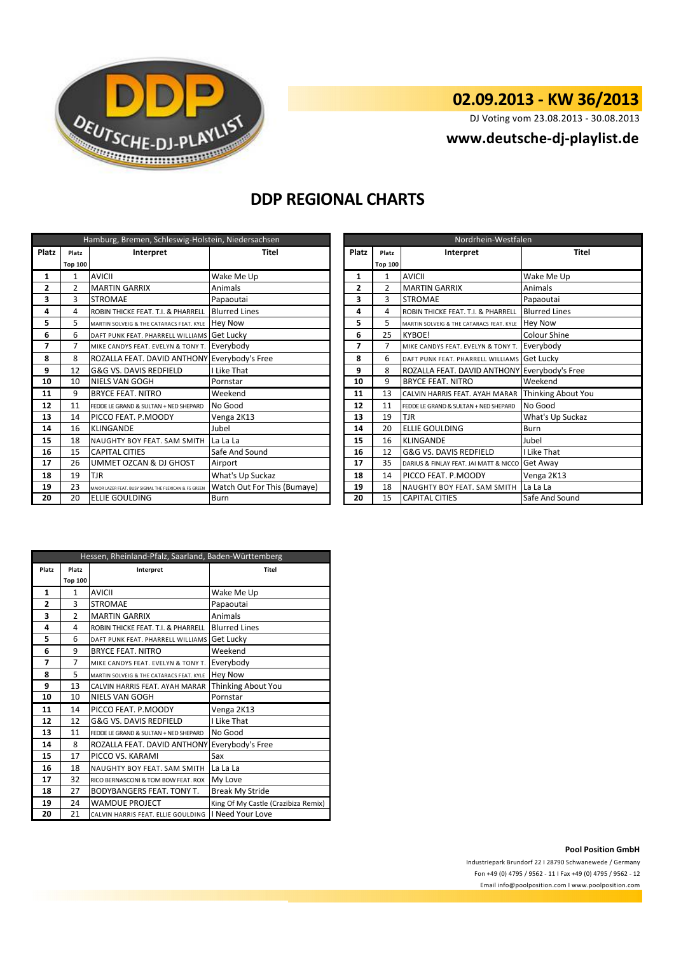

# **02.09.2013 - KW 36/2013**

DJ Voting vom 23.08.2013 - 30.08.2013

## **<www.deutsche-dj-playlist.de>**

### **DDP REGIONAL CHARTS**

| Hamburg, Bremen, Schleswig-Holstein, Niedersachsen |                |                                                       |                             | Nordrhein-Westfalen |                |                                              |                           |
|----------------------------------------------------|----------------|-------------------------------------------------------|-----------------------------|---------------------|----------------|----------------------------------------------|---------------------------|
| Platz                                              | Platz          | Interpret<br>Platz<br>Titel                           |                             | Platz               | Interpret      | <b>Titel</b>                                 |                           |
|                                                    | <b>Top 100</b> |                                                       |                             |                     | <b>Top 100</b> |                                              |                           |
| 1                                                  | 1              | <b>AVICII</b>                                         | Wake Me Up                  | 1                   | 1              | <b>AVICII</b>                                | Wake Me Up                |
| 2                                                  | $\overline{2}$ | <b>MARTIN GARRIX</b>                                  | Animals                     | 2                   | 2              | <b>MARTIN GARRIX</b>                         | Animals                   |
| 3                                                  | 3              | <b>STROMAE</b>                                        | Papaoutai                   | 3                   | 3              | <b>STROMAE</b>                               | Papaoutai                 |
| 4                                                  | 4              | ROBIN THICKE FEAT. T.I. & PHARRELL                    | <b>Blurred Lines</b>        | 4                   | 4              | ROBIN THICKE FEAT. T.I. & PHARRELL           | <b>Blurred Lines</b>      |
| 5                                                  | 5.             | MARTIN SOLVEIG & THE CATARACS FEAT. KYLE              | <b>Hey Now</b>              | 5                   | 5              | MARTIN SOLVEIG & THE CATARACS FEAT, KYLE     | <b>Hey Now</b>            |
| 6                                                  | 6              | DAFT PUNK FEAT. PHARRELL WILLIAMS Get Lucky           |                             | 6                   | 25             | <b>KYBOE!</b>                                | <b>Colour Shine</b>       |
| 7                                                  | 7              | MIKE CANDYS FEAT. EVELYN & TONY T.                    | Everybody                   | 7                   | $\overline{7}$ | MIKE CANDYS FEAT. EVELYN & TONY T.           | Everybody                 |
| 8                                                  | 8              | ROZALLA FEAT. DAVID ANTHONY Everybody's Free          |                             | 8                   | 6              | DAFT PUNK FEAT. PHARRELL WILLIAMS Get Lucky  |                           |
| 9                                                  | 12             | G&G VS. DAVIS REDFIELD                                | I Like That                 | 9                   | 8              | ROZALLA FEAT. DAVID ANTHONY Everybody's Free |                           |
| 10                                                 | 10             | <b>NIELS VAN GOGH</b>                                 | Pornstar                    | 10                  | 9              | <b>BRYCE FEAT. NITRO</b>                     | Weekend                   |
| 11                                                 | 9              | <b>BRYCE FEAT. NITRO</b>                              | Weekend                     | 11                  | 13             | CALVIN HARRIS FEAT. AYAH MARAR               | <b>Thinking About You</b> |
| 12                                                 | 11             | FEDDE LE GRAND & SULTAN + NED SHEPARD                 | No Good                     | 12                  | 11             | FEDDE LE GRAND & SULTAN + NED SHEPARD        | No Good                   |
| 13                                                 | 14             | PICCO FEAT. P.MOODY                                   | Venga 2K13                  | 13                  | 19             | <b>TJR</b>                                   | What's Up Suckaz          |
| 14                                                 | 16             | <b>KLINGANDE</b>                                      | Jubel                       | 14                  | 20             | <b>ELLIE GOULDING</b>                        | <b>Burn</b>               |
| 15                                                 | 18             | NAUGHTY BOY FEAT. SAM SMITH                           | La La La                    | 15                  | 16             | <b>KLINGANDE</b>                             | Jubel                     |
| 16                                                 | 15             | <b>CAPITAL CITIES</b>                                 | Safe And Sound              | 16                  | 12             | G&G VS. DAVIS REDFIELD                       | Like That                 |
| 17                                                 | 26             | UMMET OZCAN & DJ GHOST                                | Airport                     | 17                  | 35             | DARIUS & FINLAY FEAT. JAI MATT & NICCO       | Get Away                  |
| 18                                                 | 19             | <b>TJR</b>                                            | What's Up Suckaz            | 18                  | 14             | PICCO FEAT. P.MOODY                          | Venga 2K13                |
| 19                                                 | 23             | MAJOR LAZER FEAT. BUSY SIGNAL THE FLEXICAN & FS GREEN | Watch Out For This (Bumaye) | 19                  | 18             | NAUGHTY BOY FEAT. SAM SMITH                  | La La La                  |
| 20                                                 | 20             | <b>ELLIE GOULDING</b>                                 | <b>Burn</b>                 | 20                  | 15             | <b>CAPITAL CITIES</b>                        | Safe And Sound            |

| Nordrhein-Westfalen |                |                                          |                      |  |  |  |  |
|---------------------|----------------|------------------------------------------|----------------------|--|--|--|--|
| <b>Platz</b>        | Platz          | Interpret                                | <b>Titel</b>         |  |  |  |  |
|                     | <b>Top 100</b> |                                          |                      |  |  |  |  |
| 1                   | $\mathbf{1}$   | <b>AVICII</b>                            | Wake Me Up           |  |  |  |  |
| $\mathbf{2}$        | $\overline{2}$ | <b>MARTIN GARRIX</b>                     | Animals              |  |  |  |  |
| 3                   | 3              | <b>STROMAE</b>                           | Papaoutai            |  |  |  |  |
| 4                   | 4              | ROBIN THICKE FEAT. T.I. & PHARRELL       | <b>Blurred Lines</b> |  |  |  |  |
| 5                   | 5              | MARTIN SOLVEIG & THE CATARACS FEAT. KYLE | <b>Hey Now</b>       |  |  |  |  |
| 6                   | 25             | <b>KYBOE!</b>                            | Colour Shine         |  |  |  |  |
| 7                   | 7              | MIKE CANDYS FEAT. EVELYN & TONY T.       | Everybody            |  |  |  |  |
| 8                   | 6              | DAFT PUNK FEAT. PHARRELL WILLIAMS        | Get Lucky            |  |  |  |  |
| 9                   | 8              | ROZALLA FEAT. DAVID ANTHONY              | Everybody's Free     |  |  |  |  |
| 10                  | 9              | <b>BRYCE FEAT. NITRO</b>                 | Weekend              |  |  |  |  |
| 11                  | 13             | CALVIN HARRIS FEAT, AYAH MARAR           | Thinking About You   |  |  |  |  |
| 12                  | 11             | FEDDE LE GRAND & SULTAN + NED SHEPARD    | No Good              |  |  |  |  |
| 13                  | 19             | TJR                                      | What's Up Suckaz     |  |  |  |  |
| 14                  | 20             | ELLIE GOULDING                           | Burn                 |  |  |  |  |
| 15                  | 16             | <b>KLINGANDE</b>                         | Jubel                |  |  |  |  |
| 16                  | 12             | G&G VS. DAVIS REDFIELD                   | I Like That          |  |  |  |  |
| 17                  | 35             | DARIUS & FINLAY FEAT. JAI MATT & NICCO   | Get Away             |  |  |  |  |
| 18                  | 14             | PICCO FEAT. P.MOODY                      | Venga 2K13           |  |  |  |  |
| 19                  | 18             | NAUGHTY BOY FEAT. SAM SMITH              | La La La             |  |  |  |  |
| 20                  | 15             | <b>CAPITAL CITIES</b>                    | Safe And Sound       |  |  |  |  |

| Hessen, Rheinland-Pfalz, Saarland, Baden-Württemberg |                    |                                          |                                     |  |  |  |  |
|------------------------------------------------------|--------------------|------------------------------------------|-------------------------------------|--|--|--|--|
| Platz                                                | Platz<br>Interpret |                                          | Titel                               |  |  |  |  |
|                                                      | <b>Top 100</b>     |                                          |                                     |  |  |  |  |
| 1                                                    | $\mathbf{1}$       | <b>AVICII</b>                            | Wake Me Up                          |  |  |  |  |
| $\overline{2}$                                       | 3                  | <b>STROMAE</b>                           | Papaoutai                           |  |  |  |  |
| 3                                                    | $\overline{2}$     | <b>MARTIN GARRIX</b>                     | Animals                             |  |  |  |  |
| 4                                                    | 4                  | ROBIN THICKE FEAT. T.I. & PHARRELL       | <b>Blurred Lines</b>                |  |  |  |  |
| 5                                                    | 6                  | DAFT PUNK FFAT. PHARRFLL WILLIAMS        | Get Lucky                           |  |  |  |  |
| 6                                                    | 9                  | <b>BRYCE FEAT, NITRO</b>                 | Weekend                             |  |  |  |  |
| 7                                                    | $\overline{7}$     | MIKE CANDYS FEAT. EVELYN & TONY T.       | Everybody                           |  |  |  |  |
| 8                                                    | 5                  | MARTIN SOLVEIG & THE CATARACS FEAT. KYLE | <b>Hey Now</b>                      |  |  |  |  |
| 9                                                    | 13                 | CALVIN HARRIS FEAT. AYAH MARAR           | Thinking About You                  |  |  |  |  |
| 10                                                   | 10                 | NIELS VAN GOGH                           | Pornstar                            |  |  |  |  |
| 11                                                   | 14                 | PICCO FEAT. P.MOODY                      | Venga 2K13                          |  |  |  |  |
| 12                                                   | 12                 | G&G VS. DAVIS REDFIELD                   | I Like That                         |  |  |  |  |
| 13                                                   | 11                 | FFDDF LF GRAND & SULTAN + NFD SHFPARD    | No Good                             |  |  |  |  |
| 14                                                   | 8                  | ROZALLA FEAT. DAVID ANTHONY              | Everybody's Free                    |  |  |  |  |
| 15                                                   | 17                 | PICCO VS. KARAMI                         | Sax                                 |  |  |  |  |
| 16                                                   | 18                 | NAUGHTY BOY FEAT, SAM SMITH              | La La La                            |  |  |  |  |
| 17                                                   | 32                 | RICO BERNASCONI & TOM BOW FEAT, ROX      | My Love                             |  |  |  |  |
| 18                                                   | 27                 | <b>BODYBANGERS FEAT. TONY T.</b>         | <b>Break My Stride</b>              |  |  |  |  |
| 19                                                   | 24                 | <b>WAMDUE PROJECT</b>                    | King Of My Castle (Crazibiza Remix) |  |  |  |  |
| 20                                                   | 21                 | CALVIN HARRIS FEAT. ELLIE GOULDING       | I Need Your Love                    |  |  |  |  |

#### **Pool Position GmbH**

Industriepark Brundorf 22 I 28790 Schwanewede / Germany Fon +49 (0) 4795 / 9562 - 11 I Fax +49 (0) 4795 / 9562 - 12 <Email info@poolposition.com I www.poolposition.com>